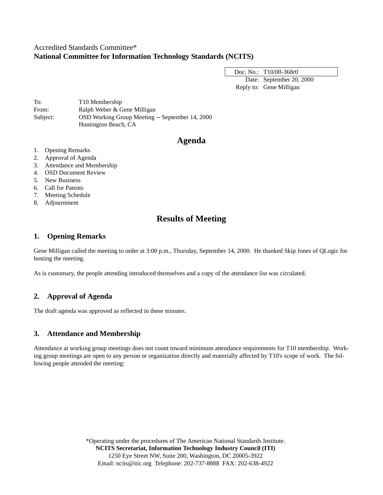## Accredited Standards Committee\* **National Committee for Information Technology Standards (NCITS)**

Doc. No.: T10/00-368r0 Date: September 20, 2000 Reply to: Gene Milligan

To: T10 Membership From: Ralph Weber & Gene Milligan Subject: OSD Working Group Meeting -- September 14, 2000 Huntington Beach, CA

# **Agenda**

- 1. Opening Remarks
- 2. Approval of Agenda
- 3. Attendance and Membership
- 4. OSD Document Review
- 5. New Business
- 6. Call for Patents
- 7. Meeting Schedule
- 8. Adjournment

# **Results of Meeting**

## **1. Opening Remarks**

Gene Milligan called the meeting to order at 3:00 p.m., Thursday, September 14, 2000. He thanked Skip Jones of QLogic for hosting the meeting.

As is customary, the people attending introduced themselves and a copy of the attendance list was circulated.

## **2. Approval of Agenda**

The draft agenda was approved as reflected in these minutes.

## **3. Attendance and Membership**

Attendance at working group meetings does not count toward minimum attendance requirements for T10 membership. Working group meetings are open to any person or organization directly and materially affected by T10's scope of work. The following people attended the meeting:

> \*Operating under the procedures of The American National Standards Institute. **NCITS Secretariat, Information Technology Industry Council (ITI)** 1250 Eye Street NW, Suite 200, Washington, DC 20005-3922 Email: ncits@itic.org Telephone: 202-737-8888 FAX: 202-638-4922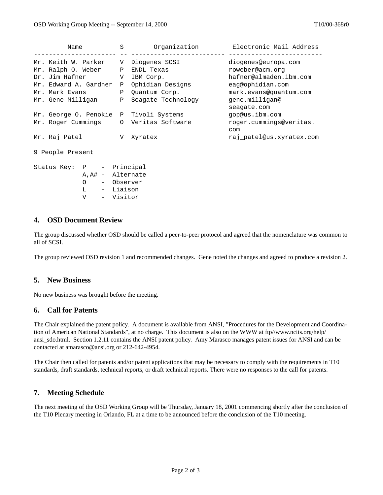| Name                                   | S                 | Organization       | Electronic Mail Address        |
|----------------------------------------|-------------------|--------------------|--------------------------------|
| Mr. Keith W. Parker                    | V                 | Diogenes SCSI      | diogenes@europa.com            |
| Mr. Ralph O. Weber                     | $\mathbf{P}$      | ENDL Texas         | roweber@acm.org                |
| Dr. Jim Hafner                         |                   | V IBM Corp.        | hafner@almaden.ibm.com         |
| Mr. Edward A. Gardner                  | $\mathbf{P}$      | Ophidian Designs   | eag@ophidian.com               |
| Mr. Mark Evans                         | $\mathbf{P}$      | Quantum Corp.      | mark.evans@quantum.com         |
| Mr. Gene Milligan                      | $\mathbf{P}$      | Seagate Technology | gene.milligan@<br>seagate.com  |
| Mr. George O. Penokie P Tivoli Systems |                   |                    | gop@us.ibm.com                 |
| Mr. Roger Cummings                     |                   | 0 Veritas Software | roger.cummings@veritas.<br>com |
| Mr. Raj Patel                          | V.                | Xyratex            | raj patel@us.xyratex.com       |
| 9 People Present                       |                   |                    |                                |
| Status Key: P - Principal              |                   |                    |                                |
|                                        | A, A# - Alternate |                    |                                |
| $\Omega$                               | - Observer        |                    |                                |
| I. – Liaison                           |                   |                    |                                |

#### **4. OSD Document Review**

The group discussed whether OSD should be called a peer-to-peer protocol and agreed that the nomenclature was common to all of SCSI.

The group reviewed OSD revision 1 and recommended changes. Gene noted the changes and agreed to produce a revision 2.

#### **5. New Business**

No new business was brought before the meeting.

V - Visitor

### **6. Call for Patents**

The Chair explained the patent policy. A document is available from ANSI, "Procedures for the Development and Coordination of American National Standards", at no charge. This document is also on the WWW at ftp//www.ncits.org/help/ ansi\_sdo.html. Section 1.2.11 contains the ANSI patent policy. Amy Marasco manages patent issues for ANSI and can be contacted at amarasco@ansi.org or 212-642-4954.

The Chair then called for patents and/or patent applications that may be necessary to comply with the requirements in T10 standards, draft standards, technical reports, or draft technical reports. There were no responses to the call for patents.

#### **7. Meeting Schedule**

The next meeting of the OSD Working Group will be Thursday, January 18, 2001 commencing shortly after the conclusion of the T10 Plenary meeting in Orlando, FL at a time to be announced before the conclusion of the T10 meeting.